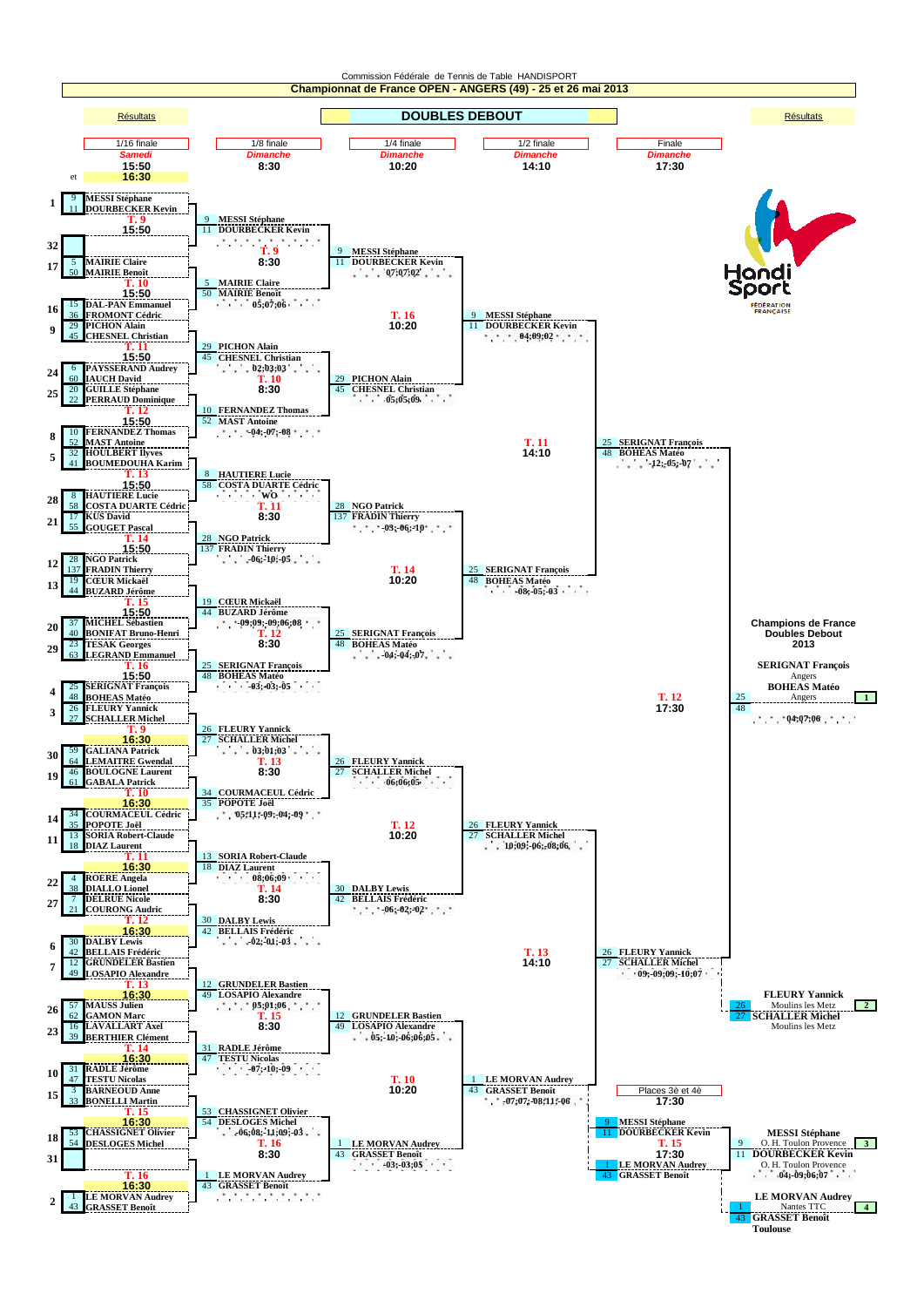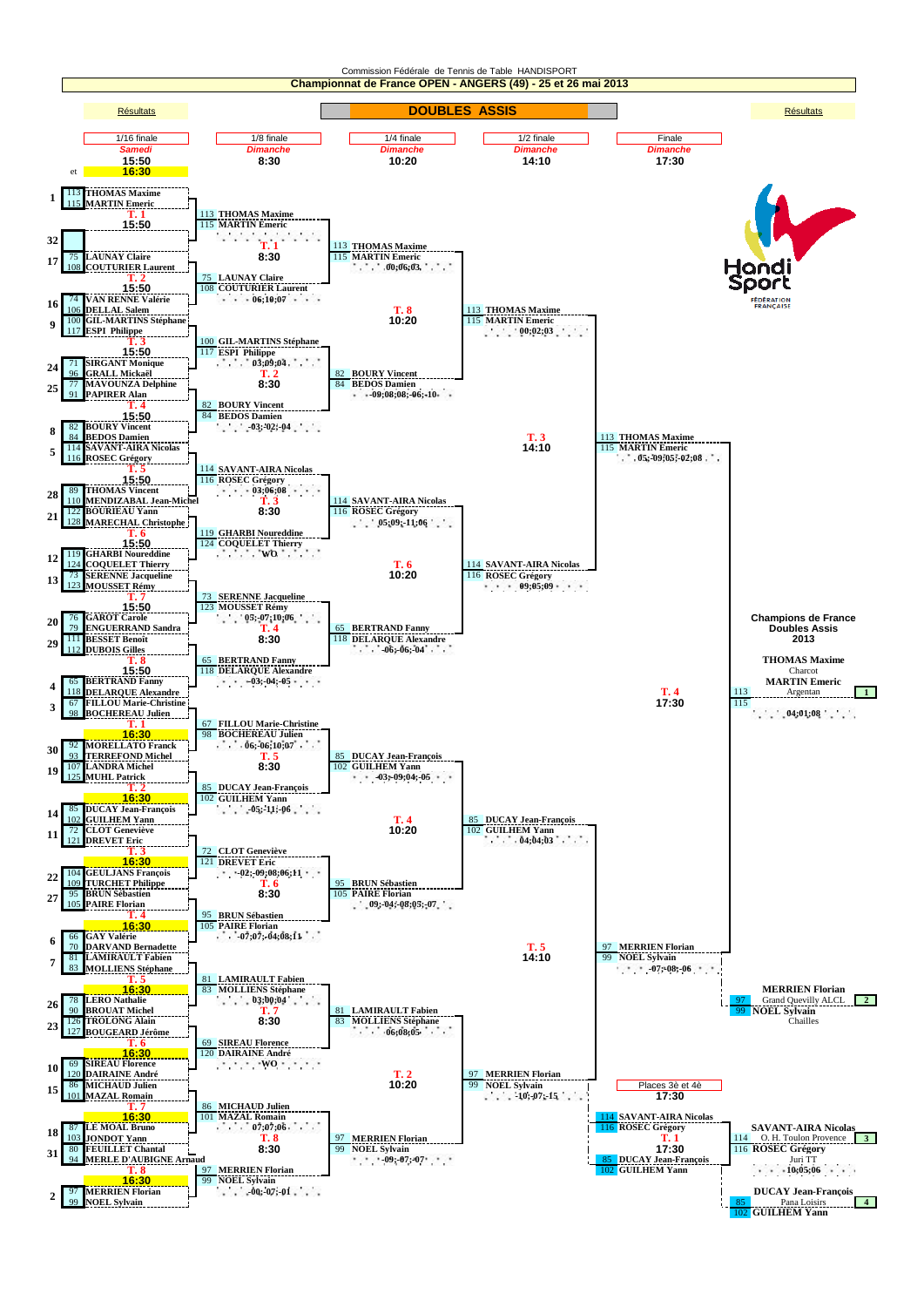